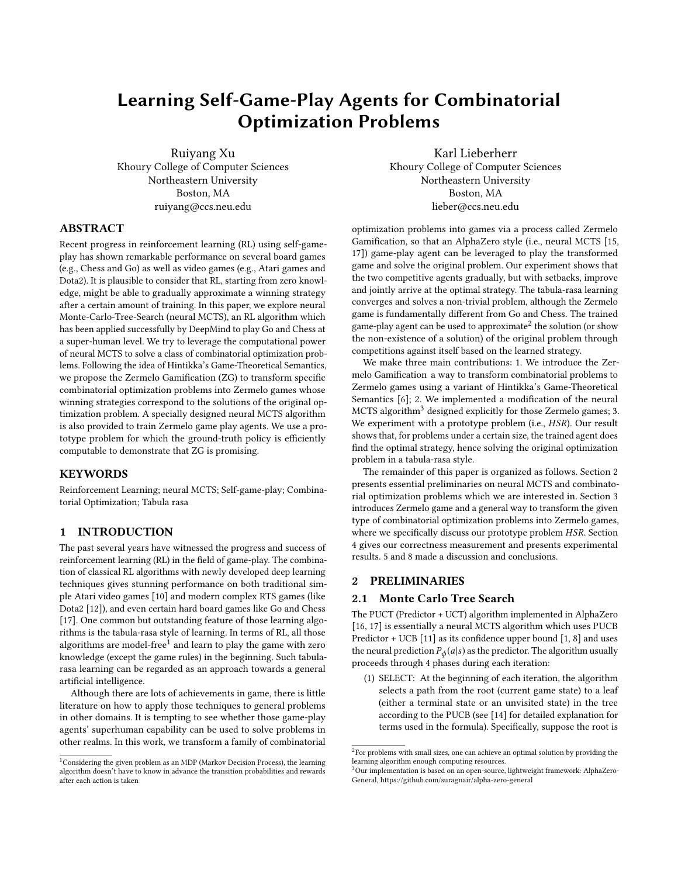# Learning Self-Game-Play Agents for Combinatorial Optimization Problems

Ruiyang Xu Khoury College of Computer Sciences Northeastern University Boston, MA ruiyang@ccs.neu.edu

Karl Lieberherr Khoury College of Computer Sciences Northeastern University Boston, MA lieber@ccs.neu.edu

# ABSTRACT

Recent progress in reinforcement learning (RL) using self-gameplay has shown remarkable performance on several board games (e.g., Chess and Go) as well as video games (e.g., Atari games and Dota2). It is plausible to consider that RL, starting from zero knowledge, might be able to gradually approximate a winning strategy after a certain amount of training. In this paper, we explore neural Monte-Carlo-Tree-Search (neural MCTS), an RL algorithm which has been applied successfully by DeepMind to play Go and Chess at a super-human level. We try to leverage the computational power of neural MCTS to solve a class of combinatorial optimization problems. Following the idea of Hintikka's Game-Theoretical Semantics, we propose the Zermelo Gamification (ZG) to transform specific combinatorial optimization problems into Zermelo games whose winning strategies correspond to the solutions of the original optimization problem. A specially designed neural MCTS algorithm is also provided to train Zermelo game play agents. We use a prototype problem for which the ground-truth policy is efficiently computable to demonstrate that ZG is promising.

# **KEYWORDS**

Reinforcement Learning; neural MCTS; Self-game-play; Combinatorial Optimization; Tabula rasa

## 1 INTRODUCTION

The past several years have witnessed the progress and success of reinforcement learning (RL) in the field of game-play. The combination of classical RL algorithms with newly developed deep learning techniques gives stunning performance on both traditional simple Atari video games [\[10\]](#page-7-0) and modern complex RTS games (like Dota2 [\[12\]](#page-7-1)), and even certain hard board games like Go and Chess [\[17\]](#page-7-2). One common but outstanding feature of those learning algorithms is the tabula-rasa style of learning. In terms of RL, all those algorithms are model-free $^1$  $^1$  and learn to play the game with zero knowledge (except the game rules) in the beginning. Such tabularasa learning can be regarded as an approach towards a general artificial intelligence.

Although there are lots of achievements in game, there is little literature on how to apply those techniques to general problems in other domains. It is tempting to see whether those game-play agents' superhuman capability can be used to solve problems in other realms. In this work, we transform a family of combinatorial optimization problems into games via a process called Zermelo Gamification, so that an AlphaZero style (i.e., neural MCTS [\[15,](#page-7-3) [17\]](#page-7-2)) game-play agent can be leveraged to play the transformed game and solve the original problem. Our experiment shows that the two competitive agents gradually, but with setbacks, improve and jointly arrive at the optimal strategy. The tabula-rasa learning converges and solves a non-trivial problem, although the Zermelo game is fundamentally different from Go and Chess. The trained game-play agent can be used to approximate $^2$  $^2$  the solution (or show the non-existence of a solution) of the original problem through competitions against itself based on the learned strategy.

We make three main contributions: 1. We introduce the Zermelo Gamification a way to transform combinatorial problems to Zermelo games using a variant of Hintikka's Game-Theoretical Semantics [\[6\]](#page-6-0); 2. We implemented a modification of the neural MCTS algorithm<sup>[3](#page-0-2)</sup> designed explicitly for those Zermelo games; 3. We experiment with a prototype problem (i.e., *HSR*). Our result shows that, for problems under a certain size, the trained agent does find the optimal strategy, hence solving the original optimization problem in a tabula-rasa style.

The remainder of this paper is organized as follows. Section [2](#page-0-3) presents essential preliminaries on neural MCTS and combinatorial optimization problems which we are interested in. Section [3](#page-1-0) introduces Zermelo game and a general way to transform the given type of combinatorial optimization problems into Zermelo games, where we specifically discuss our prototype problem HSR. Section [4](#page-3-0) gives our correctness measurement and presents experimental results. [5](#page-5-0) and [8](#page-6-1) made a discussion and conclusions.

## <span id="page-0-3"></span>2 PRELIMINARIES

#### 2.1 Monte Carlo Tree Search

The PUCT (Predictor + UCT) algorithm implemented in AlphaZero [\[16,](#page-7-4) [17\]](#page-7-2) is essentially a neural MCTS algorithm which uses PUCB Predictor + UCB [\[11\]](#page-7-5) as its confidence upper bound [\[1,](#page-6-2) [8\]](#page-6-3) and uses the neural prediction  $P_{\phi}(a|s)$  as the predictor. The algorithm usually proceeds through 4 phases during each iteration:

(1) SELECT: At the beginning of each iteration, the algorithm selects a path from the root (current game state) to a leaf (either a terminal state or an unvisited state) in the tree according to the PUCB (see [\[14\]](#page-7-6) for detailed explanation for terms used in the formula). Specifically, suppose the root is

<span id="page-0-0"></span><sup>&</sup>lt;sup>1</sup>Considering the given problem as an MDP (Markov Decision Process), the learning algorithm doesn't have to know in advance the transition probabilities and rewards after each action is taken

<span id="page-0-1"></span> $2$ For problems with small sizes, one can achieve an optimal solution by providing the learning algorithm enough computing resources.

<span id="page-0-2"></span><sup>&</sup>lt;sup>3</sup>Our implementation is based on an open-source, lightweight framework: AlphaZero-General, https://github.com/suragnair/alpha-zero-general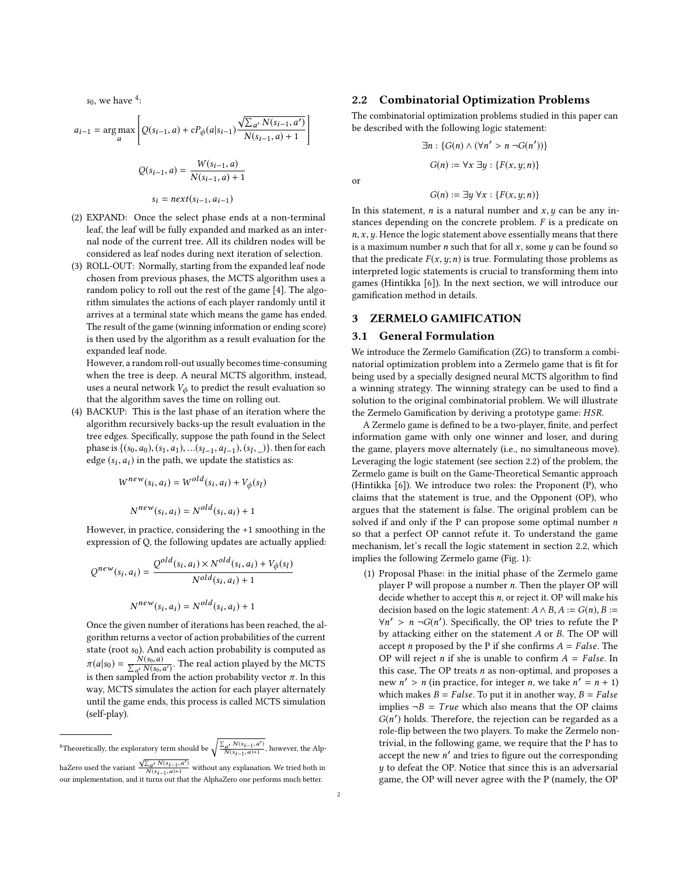$s_0$ , we have  $\frac{4}{3}$  $\frac{4}{3}$  $\frac{4}{3}$ :

$$
a_{i-1} = \arg \max_{a} \left[ Q(s_{i-1}, a) + cP_{\phi}(a|s_{i-1}) \frac{\sqrt{\sum_{a'} N(s_{i-1}, a')}}{N(s_{i-1}, a) + 1} \right]
$$

$$
Q(s_{i-1}, a) = \frac{W(s_{i-1}, a)}{N(s_{i-1}, a) + 1}
$$

$$
s_i = next(s_{i-1}, a_{i-1})
$$

1

or

- (2) EXPAND: Once the select phase ends at a non-terminal leaf, the leaf will be fully expanded and marked as an internal node of the current tree. All its children nodes will be considered as leaf nodes during next iteration of selection.
- (3) ROLL-OUT: Normally, starting from the expanded leaf node chosen from previous phases, the MCTS algorithm uses a random policy to roll out the rest of the game [\[4\]](#page-6-4). The algorithm simulates the actions of each player randomly until it arrives at a terminal state which means the game has ended. The result of the game (winning information or ending score) is then used by the algorithm as a result evaluation for the expanded leaf node.

However, a random roll-out usually becomes time-consuming when the tree is deep. A neural MCTS algorithm, instead, uses a neural network  $V_{\phi}$  to predict the result evaluation so that the algorithm saves the time on rolling out.

(4) BACKUP: This is the last phase of an iteration where the algorithm recursively backs-up the result evaluation in the tree edges. Specifically, suppose the path found in the Select phase is  $\{(s_0, a_0), (s_1, a_1), \ldots, (s_{l-1}, a_{l-1}), (s_l, \_)\}$ . then for each edge  $(s_1, a_1)$  in the path we undate the statistics as: edge  $(s_i, a_i)$  in the path, we update the statistics as:

$$
W^{new}(s_i, a_i) = W^{old}(s_i, a_i) + V_{\phi}(s_i)
$$

$$
N^{new}(s_i, a_i) = N^{old}(s_i, a_i) + 1
$$

However, in practice, considering the +1 smoothing in the expression of Q, the following updates are actually applied:

$$
Q^{new}(s_i, a_i) = \frac{Q^{old}(s_i, a_i) \times N^{old}(s_i, a_i) + V_{\phi}(s_i)}{N^{old}(s_i, a_i) + 1}
$$

$$
N^{new}(s_i, a_i) = N^{old}(s_i, a_i) + 1
$$

Once the given number of iterations has been reached, the algorithm returns a vector of action probabilities of the current state (root  $s_0$ ). And each action probability is computed as  $\pi(a|s_0) = \frac{N(s_0, a)}{\sum_{a'} N(s_0, a')}$ . The real action played by the MCTS is then sampled from the action probability vector  $\pi$ . In this is then sampled from the action probability vector  $\pi$ . In this way, MCTS simulates the action for each player alternately until the game ends, this process is called MCTS simulation (self-play).

<span id="page-1-1"></span><sup>4</sup>Theoretically, the exploratory term should be  $\sqrt{\frac{\sum_{a'} N(s_{i-1}, a')}{N(s_{i-1}, a)+1}}$ , however, the Alp-

## <span id="page-1-2"></span>2.2 Combinatorial Optimization Problems

The combinatorial optimization problems studied in this paper can be described with the following logic statement:

$$
\exists n : \{G(n) \land (\forall n' > n \neg G(n'))\}
$$

$$
G(n) := \forall x \exists y : \{F(x, y; n)\}
$$

$$
G(n) := \exists y \forall x : \{F(x, y; n)\}
$$

In this statement, *n* is a natural number and  $x, y$  can be any instances depending on the concrete problem. F is a predicate on  $n, x, y$ . Hence the logic statement above essentially means that there is a maximum number *n* such that for all  $x$ , some  $y$  can be found so that the predicate  $F(x, y; n)$  is true. Formulating those problems as interpreted logic statements is crucial to transforming them into games (Hintikka [\[6\]](#page-6-0)). In the next section, we will introduce our gamification method in details.

#### <span id="page-1-0"></span>3 ZERMELO GAMIFICATION

## <span id="page-1-3"></span>3.1 General Formulation

We introduce the Zermelo Gamification (ZG) to transform a combinatorial optimization problem into a Zermelo game that is fit for being used by a specially designed neural MCTS algorithm to find a winning strategy. The winning strategy can be used to find a solution to the original combinatorial problem. We will illustrate the Zermelo Gamification by deriving a prototype game: HSR.

A Zermelo game is defined to be a two-player, finite, and perfect information game with only one winner and loser, and during the game, players move alternately (i.e., no simultaneous move). Leveraging the logic statement (see section [2.2\)](#page-1-2) of the problem, the Zermelo game is built on the Game-Theoretical Semantic approach (Hintikka [\[6\]](#page-6-0)). We introduce two roles: the Proponent (P), who claims that the statement is true, and the Opponent (OP), who argues that the statement is false. The original problem can be solved if and only if the P can propose some optimal number  $n$ so that a perfect OP cannot refute it. To understand the game mechanism, let's recall the logic statement in section [2.2,](#page-1-2) which implies the following Zermelo game (Fig. [1\)](#page-2-0):

(1) Proposal Phase: in the initial phase of the Zermelo game player P will propose a number n. Then the player OP will decide whether to accept this  $n$ , or reject it. OP will make his decision based on the logic statement:  $A \wedge B$ ,  $A := G(n)$ ,  $B :=$  $\forall n' > n$  ¬ $G(n')$ . Specifically, the OP tries to refute the P<br>by attacking either on the statement 4 or B. The OP will by attacking either on the statement A or B. The OP will accept *n* proposed by the P if she confirms  $A = False$ . The OP will reject *n* if she is unable to confirm  $A = False$ . In this case, The OP treats  $n$  as non-optimal, and proposes a new  $n' > n$  (in practice, for integer n, we take  $n' = n + 1$ )<br>which makes  $R = False$ . To put it in another way  $R = False$ which makes  $B = False$ . To put it in another way,  $B = False$ implies  $\neg B = True$  which also means that the OP claims  $G(n')$  holds. Therefore, the rejection can be regarded as a role-flip between the two players. To make the Zermelo poprole-flip between the two players. To make the Zermelo nontrivial, in the following game, we require that the P has to  $\alpha$  accept the new *n'* and tries to figure out the corresponding  $\mu$  to defect the OP. Notice that since this is an adversarial  $y$  to defeat the OP. Notice that since this is an adversarial game, the OP will never agree with the P (namely, the OP

haZero used the variant  $\frac{\sqrt{\sum_{a'} N(s_{i-1}, a')}_{(s_{i-1}, a)+1}}{N(s_{i-1}, a)+1}$  without any explanation. We tried both in our implementation, and it turns out that the AlphaZero one performs much better.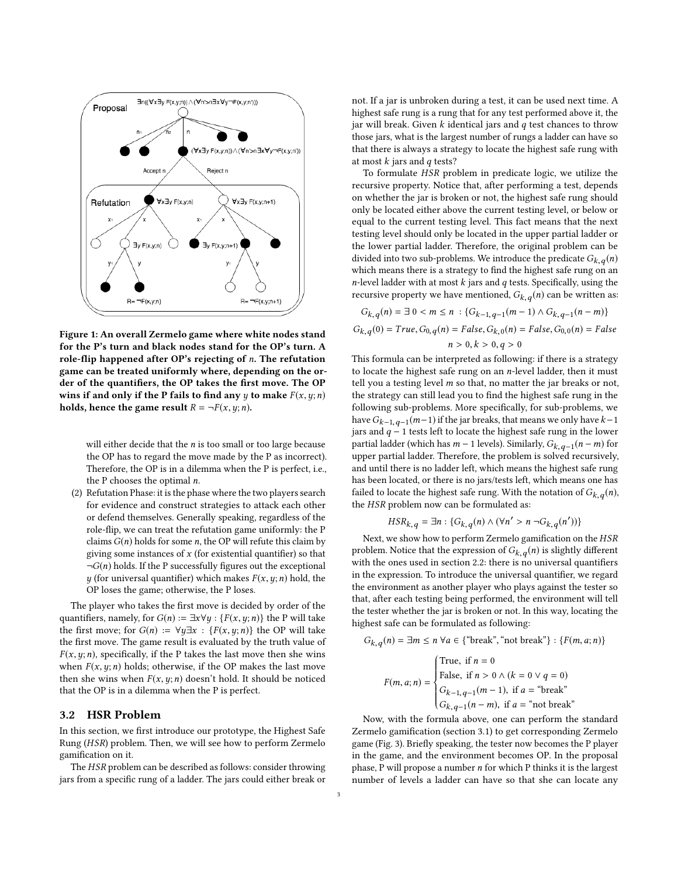<span id="page-2-0"></span>

Figure 1: An overall Zermelo game where white nodes stand for the P's turn and black nodes stand for the OP's turn. A role-flip happened after OP's rejecting of n. The refutation game can be treated uniformly where, depending on the order of the quantifiers, the OP takes the first move. The OP wins if and only if the P fails to find any y to make  $F(x, y; n)$ holds, hence the game result  $R = \neg F(x, y; n)$ .

will either decide that the  $n$  is too small or too large because the OP has to regard the move made by the P as incorrect). Therefore, the OP is in a dilemma when the P is perfect, i.e., the P chooses the optimal  $n$ .

(2) Refutation Phase: it is the phase where the two players search for evidence and construct strategies to attack each other or defend themselves. Generally speaking, regardless of the role-flip, we can treat the refutation game uniformly: the P claims  $G(n)$  holds for some n, the OP will refute this claim by giving some instances of  $x$  (for existential quantifier) so that  $\neg G(n)$  holds. If the P successfully figures out the exceptional y (for universal quantifier) which makes  $F(x, y; n)$  hold, the OP loses the game; otherwise, the P loses.

The player who takes the first move is decided by order of the quantifiers, namely, for  $G(n) := \exists x \forall y : \{F(x, y; n)\}\)$  the P will take the first move; for  $G(n) := \forall y \exists x : \{F(x, y; n)\}\)$  the OP will take the first move. The game result is evaluated by the truth value of  $F(x, y; n)$ , specifically, if the P takes the last move then she wins when  $F(x, y; n)$  holds; otherwise, if the OP makes the last move then she wins when  $F(x, y; n)$  doesn't hold. It should be noticed that the OP is in a dilemma when the P is perfect.

## 3.2 HSR Problem

In this section, we first introduce our prototype, the Highest Safe Rung (HSR) problem. Then, we will see how to perform Zermelo gamification on it.

The HSR problem can be described as follows: consider throwing jars from a specific rung of a ladder. The jars could either break or not. If a jar is unbroken during a test, it can be used next time. A highest safe rung is a rung that for any test performed above it, the jar will break. Given  $k$  identical jars and  $q$  test chances to throw those jars, what is the largest number of rungs a ladder can have so that there is always a strategy to locate the highest safe rung with at most  $k$  jars and  $q$  tests?

To formulate HSR problem in predicate logic, we utilize the recursive property. Notice that, after performing a test, depends on whether the jar is broken or not, the highest safe rung should only be located either above the current testing level, or below or equal to the current testing level. This fact means that the next testing level should only be located in the upper partial ladder or the lower partial ladder. Therefore, the original problem can be divided into two sub-problems. We introduce the predicate  $G_{k,q}(n)$ which means there is a strategy to find the highest safe rung on an *n*-level ladder with at most  $k$  jars and  $q$  tests. Specifically, using the recursive property we have mentioned,  $G_{k,q}(n)$  can be written as:

$$
G_{k,q}(n) = \exists 0 < m \le n : \{G_{k-1,q-1}(m-1) \land G_{k,q-1}(n-m)\}
$$
\n
$$
G_{k,q}(0) = True, G_{0,q}(n) = False, G_{k,0}(n) = False, G_{0,0}(n) = False
$$
\n
$$
n > 0, k > 0, q > 0
$$

 $\label{eq:1} n>0, k>0, q>0$  This formula can be interpreted as following: if there is a strategy to locate the highest safe rung on an  $n$ -level ladder, then it must tell you a testing level  $m$  so that, no matter the jar breaks or not, the strategy can still lead you to find the highest safe rung in the following sub-problems. More specifically, for sub-problems, we have  $G_{k-1,q-1}(m-1)$  if the jar breaks, that means we only have  $k-1$ <br>jars and  $a-1$  tests left to locate the bighest safe rung in the lower jars and  $q - 1$  tests left to locate the highest safe rung in the lower partial ladder (which has  $m-1$  levels). Similarly,  $G_{k,q-1}(n-m)$  for unner partial ladder. Therefore, the problem is solved recursively upper partial ladder. Therefore, the problem is solved recursively, and until there is no ladder left, which means the highest safe rung has been located, or there is no jars/tests left, which means one has failed to locate the highest safe rung. With the notation of  $G_{k,q}(n)$ , the HSR problem now can be formulated as:

$$
HSR_{k,q} = \exists n : \{G_{k,q}(n) \land (\forall n' > n \neg G_{k,q}(n'))\}
$$

Next, we show how to perform Zermelo gamification on the HSR problem. Notice that the expression of  $G_{k,q}(n)$  is slightly different with the ones used in section [2.2:](#page-1-2) there is no universal quantifiers in the expression. To introduce the universal quantifier, we regard the environment as another player who plays against the tester so that, after each testing being performed, the environment will tell the tester whether the jar is broken or not. In this way, locating the highest safe can be formulated as following:

$$
G_{k,q}(n) = \exists m \le n \,\forall a \in \{\text{``break''}, \text{``not break''}\} : \{F(m, a; n)\}
$$
\n
$$
F(m, a; n) = \begin{cases} \text{True, if } n = 0\\ \text{False, if } n > 0 \land (k = 0 \lor q = 0)\\ G_{k-1,q-1}(m-1), \text{ if } a = \text{``break''}\\ G_{k,q-1}(n-m), \text{ if } a = \text{``not break''} \end{cases}
$$
\nNow, with the formula above, one can perform the standard

Zermelo gamification (section [3.1\)](#page-1-3) to get corresponding Zermelo game (Fig. [3\)](#page-3-1). Briefly speaking, the tester now becomes the P player in the game, and the environment becomes OP. In the proposal phase, P will propose a number  $n$  for which P thinks it is the largest number of levels a ladder can have so that she can locate any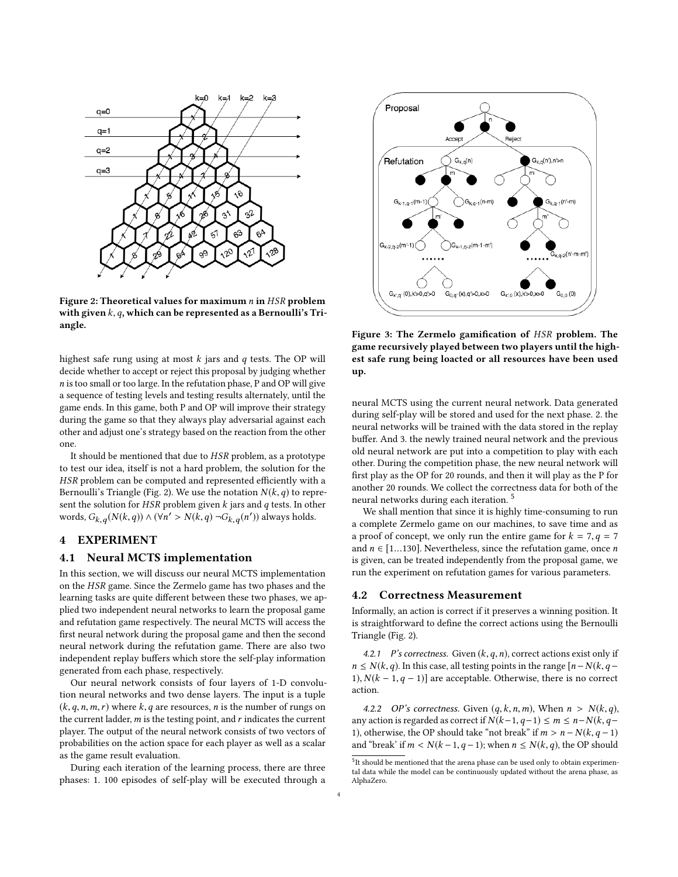<span id="page-3-2"></span>

Figure 2: Theoretical values for maximum  $n$  in HSR problem with given  $k, q$ , which can be represented as a Bernoulli's Triangle.

highest safe rung using at most  $k$  jars and  $q$  tests. The OP will decide whether to accept or reject this proposal by judging whether n is too small or too large. In the refutation phase, P and OP will give a sequence of testing levels and testing results alternately, until the game ends. In this game, both P and OP will improve their strategy during the game so that they always play adversarial against each other and adjust one's strategy based on the reaction from the other one.

It should be mentioned that due to HSR problem, as a prototype to test our idea, itself is not a hard problem, the solution for the HSR problem can be computed and represented efficiently with a Bernoulli's Triangle (Fig. [2\)](#page-3-2). We use the notation  $N(k, q)$  to represent the solution for HSR problem given  $k$  jars and  $q$  tests. In other words,  $G_{k,q}(N(k,q)) \wedge (\forall n' > N(k,q) \neg G_{k,q}(n'))$  always holds.

#### <span id="page-3-0"></span>4 EXPERIMENT

#### 4.1 Neural MCTS implementation

In this section, we will discuss our neural MCTS implementation on the HSR game. Since the Zermelo game has two phases and the learning tasks are quite different between these two phases, we applied two independent neural networks to learn the proposal game and refutation game respectively. The neural MCTS will access the first neural network during the proposal game and then the second neural network during the refutation game. There are also two independent replay buffers which store the self-play information generated from each phase, respectively.

Our neural network consists of four layers of 1-D convolution neural networks and two dense layers. The input is a tuple  $(k, q, n, m, r)$  where  $k, q$  are resources, n is the number of rungs on the current ladder,  $m$  is the testing point, and  $r$  indicates the current player. The output of the neural network consists of two vectors of probabilities on the action space for each player as well as a scalar as the game result evaluation.

During each iteration of the learning process, there are three phases: 1. 100 episodes of self-play will be executed through a

<span id="page-3-1"></span>

Figure 3: The Zermelo gamification of HSR problem. The game recursively played between two players until the highest safe rung being loacted or all resources have been used up.

neural MCTS using the current neural network. Data generated during self-play will be stored and used for the next phase. 2. the neural networks will be trained with the data stored in the replay buffer. And 3. the newly trained neural network and the previous old neural network are put into a competition to play with each other. During the competition phase, the new neural network will first play as the OP for 20 rounds, and then it will play as the P for another 20 rounds. We collect the correctness data for both of the neural networks during each iteration. [5](#page-3-3)

We shall mention that since it is highly time-consuming to run a complete Zermelo game on our machines, to save time and as a proof of concept, we only run the entire game for  $k = 7, q = 7$ and  $n \in [1...130]$ . Nevertheless, since the refutation game, once *n* is given, can be treated independently from the proposal game, we run the experiment on refutation games for various parameters.

## 4.2 Correctness Measurement

Informally, an action is correct if it preserves a winning position. It is straightforward to define the correct actions using the Bernoulli Triangle (Fig. [2\)](#page-3-2).

4.2.1 P's correctness. Given  $(k, q, n)$ , correct actions exist only if  $n \leq N(k,q)$ . In this case, all testing points in the range  $[n-N(k,q-1)]$ 1),  $N(k-1, q-1)$ ] are acceptable. Otherwise, there is no correct action.

4.2.2 OP's correctness. Given  $(q, k, n, m)$ , When  $n > N(k, q)$ , any action is regarded as correct if  $N(k-1, q-1) \le m \le n-N(k, q-1)$ 1), otherwise, the OP should take "not break" if  $m > n - N(k, q - 1)$ and "break' if  $m < N(k-1, q-1)$ ; when  $n \le N(k, q)$ , the OP should

<span id="page-3-3"></span><sup>&</sup>lt;sup>5</sup>It should be mentioned that the arena phase can be used only to obtain experimental data while the model can be continuously updated without the arena phase, as AlphaZero.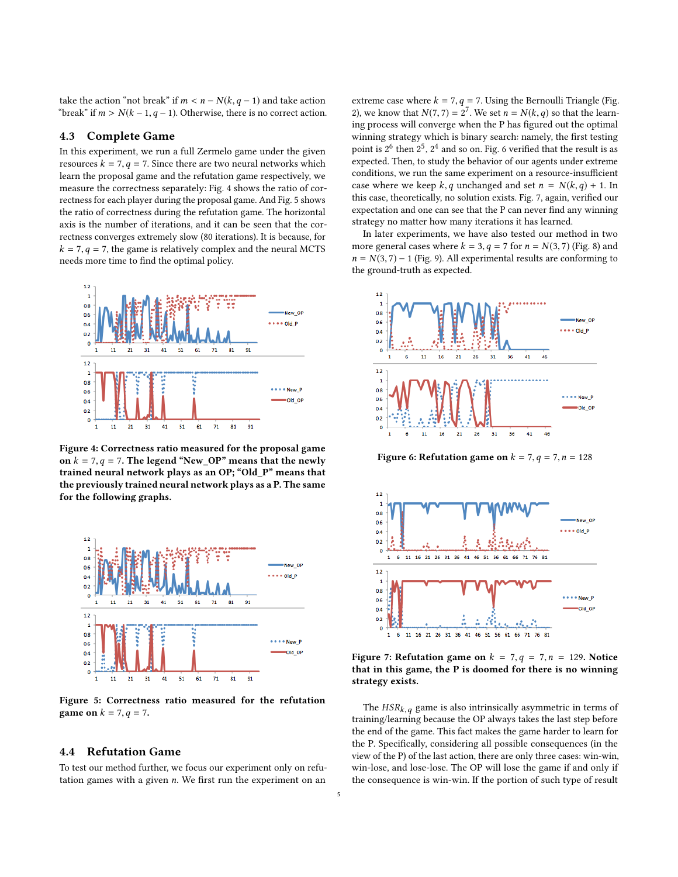take the action "not break" if  $m < n − N(k, q − 1)$  and take action "break" if  $m > N(k-1, q-1)$ . Otherwise, there is no correct action.

## 4.3 Complete Game

In this experiment, we run a full Zermelo game under the given resources  $k = 7, q = 7$ . Since there are two neural networks which learn the proposal game and the refutation game respectively, we measure the correctness separately: Fig. [4](#page-4-0) shows the ratio of correctness for each player during the proposal game. And Fig. [5](#page-4-1) shows the ratio of correctness during the refutation game. The horizontal axis is the number of iterations, and it can be seen that the correctness converges extremely slow (80 iterations). It is because, for  $k = 7, q = 7$ , the game is relatively complex and the neural MCTS needs more time to find the optimal policy.

<span id="page-4-0"></span>

Figure 4: Correctness ratio measured for the proposal game on  $k = 7, q = 7$ . The legend "New\_OP" means that the newly trained neural network plays as an OP; "Old\_P" means that the previously trained neural network plays as a P. The same for the following graphs.

<span id="page-4-1"></span>

Figure 5: Correctness ratio measured for the refutation **game on**  $k = 7, q = 7$ .

## 4.4 Refutation Game

To test our method further, we focus our experiment only on refutation games with a given  $n$ . We first run the experiment on an

extreme case where  $k = 7, q = 7$ . Using the Bernoulli Triangle (Fig. [2\)](#page-3-2), we know that  $N(7, 7) = 2^7$ . We set  $n = N(k, q)$  so that the learn-<br>ing process will converge when the P has figured out the optimal ing process will converge when the P has figured out the optimal winning strategy which is binary search: namely, the first testing point is  $2^6$  then  $2^5$ ,  $2^4$  and so on. Fig. [6](#page-4-2) verified that the result is as expected. Then, to study the behavior of our agents under extreme conditions, we run the same experiment on a resource-insufficient case where we keep  $k, q$  unchanged and set  $n = N(k, q) + 1$ . In this case, theoretically, no solution exists. Fig. [7,](#page-4-3) again, verified our expectation and one can see that the P can never find any winning strategy no matter how many iterations it has learned.

In later experiments, we have also tested our method in two more general cases where  $k = 3$ ,  $q = 7$  for  $n = N(3, 7)$  (Fig. [8\)](#page-5-1) and  $n = N(3, 7) - 1$  (Fig. [9\)](#page-5-2). All experimental results are conforming to the ground-truth as expected.

<span id="page-4-2"></span>

Figure 6: Refutation game on  $k = 7, q = 7, n = 128$ 

<span id="page-4-3"></span>

Figure 7: Refutation game on  $k = 7, q = 7, n = 129$ . Notice that in this game, the P is doomed for there is no winning strategy exists.

The  $HSR_{k,q}$  game is also intrinsically asymmetric in terms of training/learning because the OP always takes the last step before the end of the game. This fact makes the game harder to learn for the P. Specifically, considering all possible consequences (in the view of the P) of the last action, there are only three cases: win-win, win-lose, and lose-lose. The OP will lose the game if and only if the consequence is win-win. If the portion of such type of result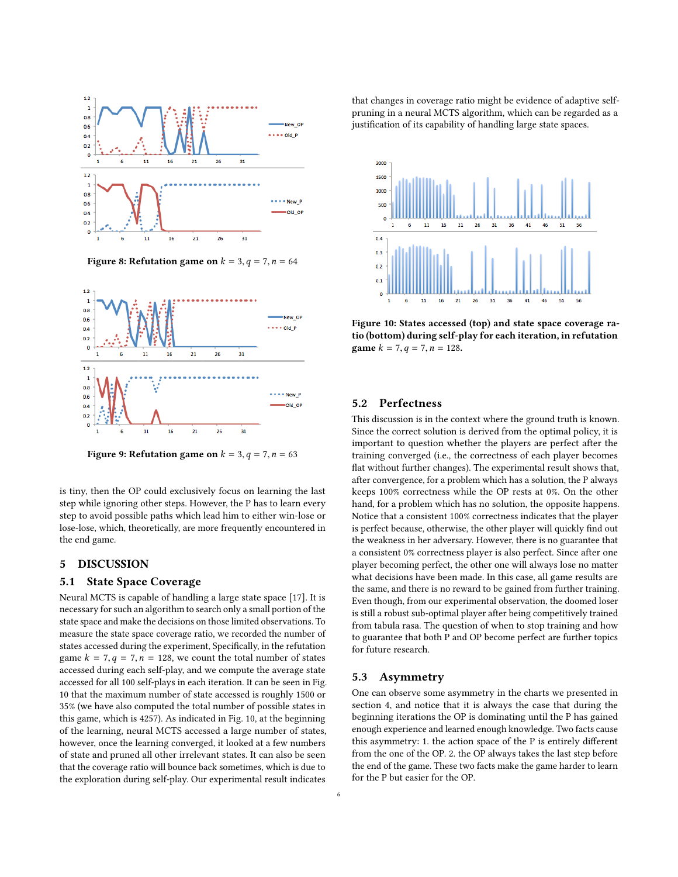<span id="page-5-1"></span>

Figure 8: Refutation game on  $k = 3$ ,  $q = 7$ ,  $n = 64$ 

<span id="page-5-2"></span>

Figure 9: Refutation game on  $k = 3$ ,  $q = 7$ ,  $n = 63$ 

is tiny, then the OP could exclusively focus on learning the last step while ignoring other steps. However, the P has to learn every step to avoid possible paths which lead him to either win-lose or lose-lose, which, theoretically, are more frequently encountered in the end game.

## <span id="page-5-0"></span>5 DISCUSSION

## 5.1 State Space Coverage

Neural MCTS is capable of handling a large state space [\[17\]](#page-7-2). It is necessary for such an algorithm to search only a small portion of the state space and make the decisions on those limited observations. To measure the state space coverage ratio, we recorded the number of states accessed during the experiment, Specifically, in the refutation game  $k = 7, q = 7, n = 128$ , we count the total number of states accessed during each self-play, and we compute the average state accessed for all 100 self-plays in each iteration. It can be seen in Fig. [10](#page-5-3) that the maximum number of state accessed is roughly 1500 or 35% (we have also computed the total number of possible states in this game, which is 4257). As indicated in Fig. [10,](#page-5-3) at the beginning of the learning, neural MCTS accessed a large number of states, however, once the learning converged, it looked at a few numbers of state and pruned all other irrelevant states. It can also be seen that the coverage ratio will bounce back sometimes, which is due to the exploration during self-play. Our experimental result indicates

that changes in coverage ratio might be evidence of adaptive selfpruning in a neural MCTS algorithm, which can be regarded as a justification of its capability of handling large state spaces.

<span id="page-5-3"></span>

Figure 10: States accessed (top) and state space coverage ratio (bottom) during self-play for each iteration, in refutation game  $k = 7, q = 7, n = 128$ .

## 5.2 Perfectness

This discussion is in the context where the ground truth is known. Since the correct solution is derived from the optimal policy, it is important to question whether the players are perfect after the training converged (i.e., the correctness of each player becomes flat without further changes). The experimental result shows that, after convergence, for a problem which has a solution, the P always keeps 100% correctness while the OP rests at 0%. On the other hand, for a problem which has no solution, the opposite happens. Notice that a consistent 100% correctness indicates that the player is perfect because, otherwise, the other player will quickly find out the weakness in her adversary. However, there is no guarantee that a consistent 0% correctness player is also perfect. Since after one player becoming perfect, the other one will always lose no matter what decisions have been made. In this case, all game results are the same, and there is no reward to be gained from further training. Even though, from our experimental observation, the doomed loser is still a robust sub-optimal player after being competitively trained from tabula rasa. The question of when to stop training and how to guarantee that both P and OP become perfect are further topics for future research.

#### 5.3 Asymmetry

One can observe some asymmetry in the charts we presented in section [4,](#page-3-0) and notice that it is always the case that during the beginning iterations the OP is dominating until the P has gained enough experience and learned enough knowledge. Two facts cause this asymmetry: 1. the action space of the P is entirely different from the one of the OP. 2. the OP always takes the last step before the end of the game. These two facts make the game harder to learn for the P but easier for the OP.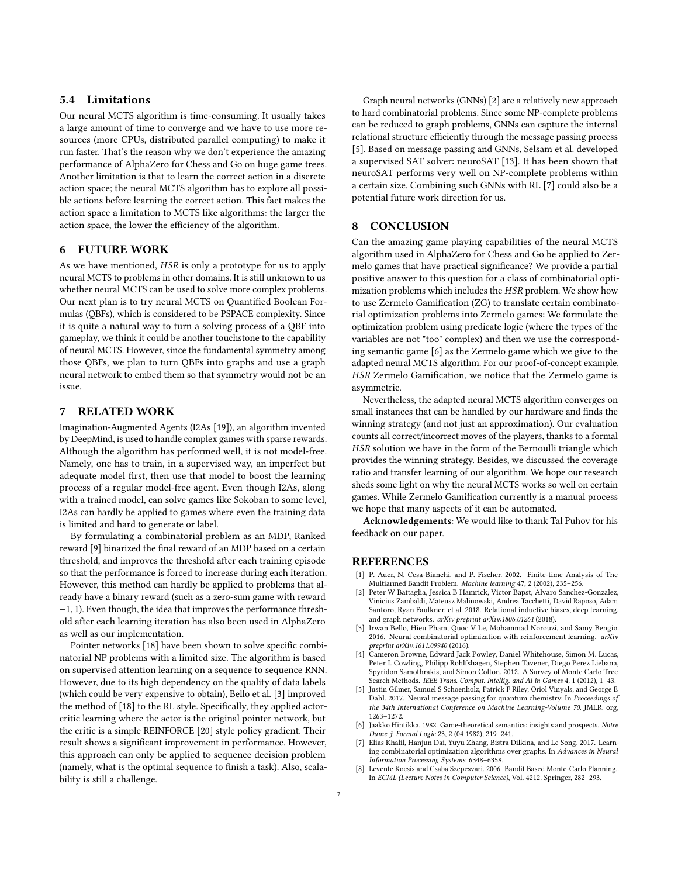# 5.4 Limitations

Our neural MCTS algorithm is time-consuming. It usually takes a large amount of time to converge and we have to use more resources (more CPUs, distributed parallel computing) to make it run faster. That's the reason why we don't experience the amazing performance of AlphaZero for Chess and Go on huge game trees. Another limitation is that to learn the correct action in a discrete action space; the neural MCTS algorithm has to explore all possible actions before learning the correct action. This fact makes the action space a limitation to MCTS like algorithms: the larger the action space, the lower the efficiency of the algorithm.

# 6 FUTURE WORK

As we have mentioned, HSR is only a prototype for us to apply neural MCTS to problems in other domains. It is still unknown to us whether neural MCTS can be used to solve more complex problems. Our next plan is to try neural MCTS on Quantified Boolean Formulas (QBFs), which is considered to be PSPACE complexity. Since it is quite a natural way to turn a solving process of a QBF into gameplay, we think it could be another touchstone to the capability of neural MCTS. However, since the fundamental symmetry among those QBFs, we plan to turn QBFs into graphs and use a graph neural network to embed them so that symmetry would not be an issue.

## 7 RELATED WORK

Imagination-Augmented Agents (I2As [\[19\]](#page-7-7)), an algorithm invented by DeepMind, is used to handle complex games with sparse rewards. Although the algorithm has performed well, it is not model-free. Namely, one has to train, in a supervised way, an imperfect but adequate model first, then use that model to boost the learning process of a regular model-free agent. Even though I2As, along with a trained model, can solve games like Sokoban to some level, I2As can hardly be applied to games where even the training data is limited and hard to generate or label.

By formulating a combinatorial problem as an MDP, Ranked reward [\[9\]](#page-7-8) binarized the final reward of an MDP based on a certain threshold, and improves the threshold after each training episode so that the performance is forced to increase during each iteration. However, this method can hardly be applied to problems that already have a binary reward (such as a zero-sum game with reward <sup>−</sup>1, 1). Even though, the idea that improves the performance threshold after each learning iteration has also been used in AlphaZero as well as our implementation.

Pointer networks [\[18\]](#page-7-9) have been shown to solve specific combinatorial NP problems with a limited size. The algorithm is based on supervised attention learning on a sequence to sequence RNN. However, due to its high dependency on the quality of data labels (which could be very expensive to obtain), Bello et al. [\[3\]](#page-6-5) improved the method of [\[18\]](#page-7-9) to the RL style. Specifically, they applied actorcritic learning where the actor is the original pointer network, but the critic is a simple REINFORCE [\[20\]](#page-7-10) style policy gradient. Their result shows a significant improvement in performance. However, this approach can only be applied to sequence decision problem (namely, what is the optimal sequence to finish a task). Also, scalability is still a challenge.

Graph neural networks (GNNs) [\[2\]](#page-6-6) are a relatively new approach to hard combinatorial problems. Since some NP-complete problems can be reduced to graph problems, GNNs can capture the internal relational structure efficiently through the message passing process [\[5\]](#page-6-7). Based on message passing and GNNs, Selsam et al. developed a supervised SAT solver: neuroSAT [\[13\]](#page-7-11). It has been shown that neuroSAT performs very well on NP-complete problems within a certain size. Combining such GNNs with RL [\[7\]](#page-6-8) could also be a potential future work direction for us.

# <span id="page-6-1"></span>8 CONCLUSION

Can the amazing game playing capabilities of the neural MCTS algorithm used in AlphaZero for Chess and Go be applied to Zermelo games that have practical significance? We provide a partial positive answer to this question for a class of combinatorial optimization problems which includes the HSR problem. We show how to use Zermelo Gamification (ZG) to translate certain combinatorial optimization problems into Zermelo games: We formulate the optimization problem using predicate logic (where the types of the variables are not "too" complex) and then we use the corresponding semantic game [\[6\]](#page-6-0) as the Zermelo game which we give to the adapted neural MCTS algorithm. For our proof-of-concept example, HSR Zermelo Gamification, we notice that the Zermelo game is asymmetric.

Nevertheless, the adapted neural MCTS algorithm converges on small instances that can be handled by our hardware and finds the winning strategy (and not just an approximation). Our evaluation counts all correct/incorrect moves of the players, thanks to a formal HSR solution we have in the form of the Bernoulli triangle which provides the winning strategy. Besides, we discussed the coverage ratio and transfer learning of our algorithm. We hope our research sheds some light on why the neural MCTS works so well on certain games. While Zermelo Gamification currently is a manual process we hope that many aspects of it can be automated.

Acknowledgements: We would like to thank Tal Puhov for his feedback on our paper.

## REFERENCES

- <span id="page-6-2"></span>[1] P. Auer, N. Cesa-Bianchi, and P. Fischer. 2002. Finite-time Analysis of The Multiarmed Bandit Problem. Machine learning 47, 2 (2002), 235–256.
- <span id="page-6-6"></span>Peter W Battaglia, Jessica B Hamrick, Victor Bapst, Alvaro Sanchez-Gonzalez, Vinicius Zambaldi, Mateusz Malinowski, Andrea Tacchetti, David Raposo, Adam Santoro, Ryan Faulkner, et al. 2018. Relational inductive biases, deep learning, and graph networks. arXiv preprint arXiv:1806.01261 (2018).
- <span id="page-6-5"></span>[3] Irwan Bello, Hieu Pham, Quoc V Le, Mohammad Norouzi, and Samy Bengio. 2016. Neural combinatorial optimization with reinforcement learning. arXiv preprint arXiv:1611.09940 (2016).
- <span id="page-6-4"></span>[4] Cameron Browne, Edward Jack Powley, Daniel Whitehouse, Simon M. Lucas, Peter I. Cowling, Philipp Rohlfshagen, Stephen Tavener, Diego Perez Liebana, Spyridon Samothrakis, and Simon Colton. 2012. A Survey of Monte Carlo Tree Search Methods. IEEE Trans. Comput. Intellig. and AI in Games 4, 1 (2012), 1-43.
- <span id="page-6-7"></span>Justin Gilmer, Samuel S Schoenholz, Patrick F Riley, Oriol Vinyals, and George E Dahl. 2017. Neural message passing for quantum chemistry. In Proceedings of the 34th International Conference on Machine Learning-Volume 70. JMLR. org, 1263–1272.
- <span id="page-6-0"></span>[6] Jaakko Hintikka. 1982. Game-theoretical semantics: insights and prospects. Notre Dame J. Formal Logic 23, 2 (04 1982), 219–241.
- <span id="page-6-8"></span>[7] Elias Khalil, Hanjun Dai, Yuyu Zhang, Bistra Dilkina, and Le Song. 2017. Learning combinatorial optimization algorithms over graphs. In Advances in Neural Information Processing Systems. 6348–6358.
- <span id="page-6-3"></span>Levente Kocsis and Csaba Szepesvari. 2006. Bandit Based Monte-Carlo Planning.. In ECML (Lecture Notes in Computer Science), Vol. 4212. Springer, 282–293.